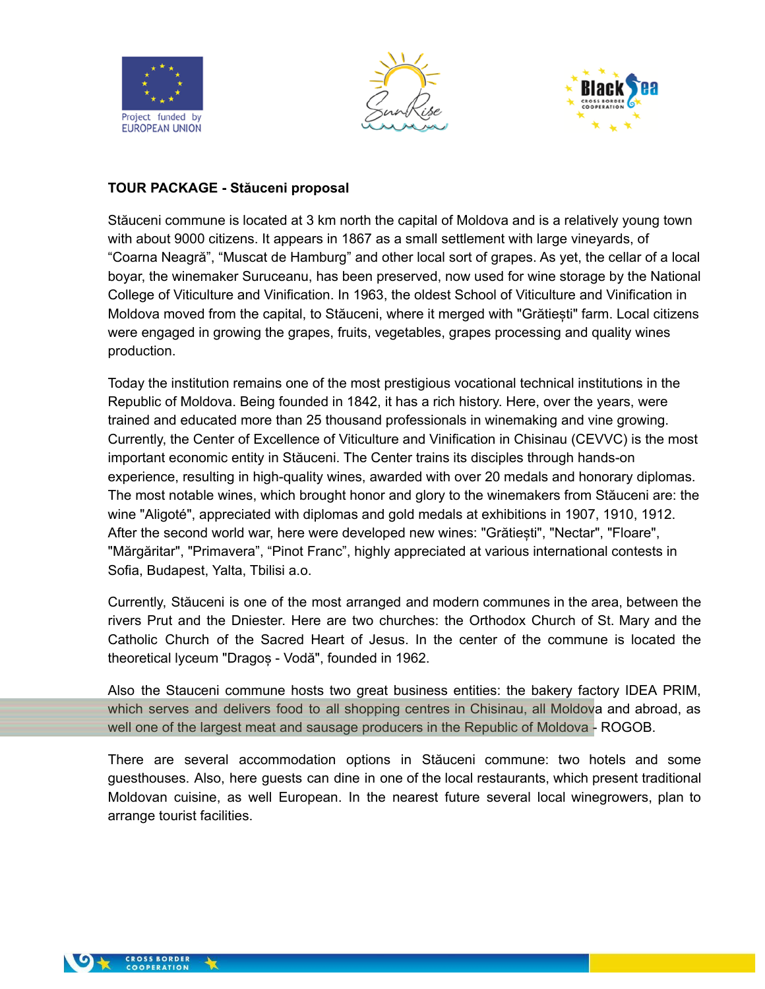





### **TOUR PACKAGE - Stăuceni proposal**

Stăuceni commune is located at 3 km north the capital of Moldova and is a relatively young town with about 9000 citizens. It appears in 1867 as a small settlement with large vineyards, of "Coarna Neagră", "Muscat de Hamburg" and other local sort of grapes. As yet, the cellar of a local boyar, the winemaker Suruceanu, has been preserved, now used for wine storage by the National College of Viticulture and Vinification. In 1963, the oldest School of Viticulture and Vinification in Moldova moved from the capital, to Stăuceni, where it merged with "Grătiești" farm. Local citizens were engaged in growing the grapes, fruits, vegetables, grapes processing and quality wines production.

Today the institution remains one of the most prestigious vocational technical institutions in the Republic of Moldova. Being founded in 1842, it has a rich history. Here, over the years, were trained and educated more than 25 thousand professionals in winemaking and vine growing. Currently, the Center of Excellence of Viticulture and Vinification in Chisinau (CEVVC) is the most important economic entity in Stăuceni. The Center trains its disciples through hands-on experience, resulting in high-quality wines, awarded with over 20 medals and honorary diplomas. The most notable wines, which brought honor and glory to the winemakers from Stăuceni are: the wine "Aligoté", appreciated with diplomas and gold medals at exhibitions in 1907, 1910, 1912. After the second world war, here were developed new wines: "Grătiești", "Nectar", "Floare", "Mărgăritar", "Primavera", "Pinot Franc", highly appreciated at various international contests in Sofia, Budapest, Yalta, Tbilisi a.o.

Currently, Stăuceni is one of the most arranged and modern communes in the area, between the rivers Prut and the Dniester. Here are two churches: the Orthodox Church of St. Mary and the Catholic Church of the Sacred Heart of Jesus. In the center of the commune is located the theoretical lyceum "Dragoș - Vodă", founded in 1962.

Also the Stauceni commune hosts two great business entities: the bakery factory IDEA PRIM, which serves and delivers food to all shopping centres in Chisinau, all Moldova and abroad, as well one of the largest meat and sausage producers in the Republic of Moldova - ROGOB.

There are several accommodation options in Stăuceni commune: two hotels and some guesthouses. Also, here guests can dine in one of the local restaurants, which present traditional Moldovan cuisine, as well European. In the nearest future several local winegrowers, plan to arrange tourist facilities.

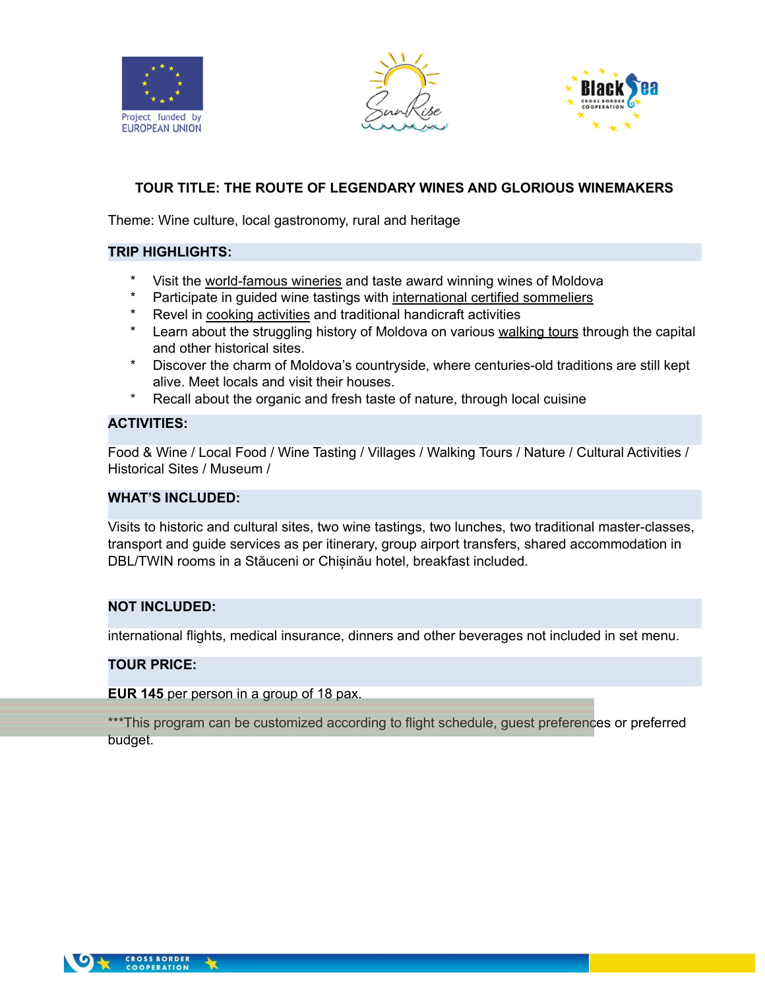





# **TOUR TITLE: THE ROUTE OF LEGENDARY WINES AND GLORIOUS WINEMAKERS**

Theme: Wine culture, local gastronomy, rural and heritage

#### **TRIP HIGHLIGHTS:**

- Visit the world-famous wineries and taste award winning wines of Moldova
- Participate in guided wine tastings with international certified sommeliers
- \* Revel in cooking activities and traditional handicraft activities
- Learn about the struggling history of Moldova on various walking tours through the capital and other historical sites.
- Discover the charm of Moldova's countryside, where centuries-old traditions are still kept alive. Meet locals and visit their houses.
- \* Recall about the organic and fresh taste of nature, through local cuisine

### **ACTIVITIES:**

Food & Wine / Local Food / Wine Tasting / Villages / Walking Tours / Nature / Cultural Activities / Historical Sites / Museum /

#### **WHAT'S INCLUDED:**

Visits to historic and cultural sites, two wine tastings, two lunches, two traditional master-classes, transport and guide services as per itinerary, group airport transfers, shared accommodation in DBL/TWIN rooms in a Stăuceni or Chișinău hotel, breakfast included.

#### **NOT INCLUDED:**

international flights, medical insurance, dinners and other beverages not included in set menu.

#### **TOUR PRICE:**

**EUR 145** per person in a group of 18 pax.

\*\*\*This program can be customized according to flight schedule, quest preferences or preferred budget.

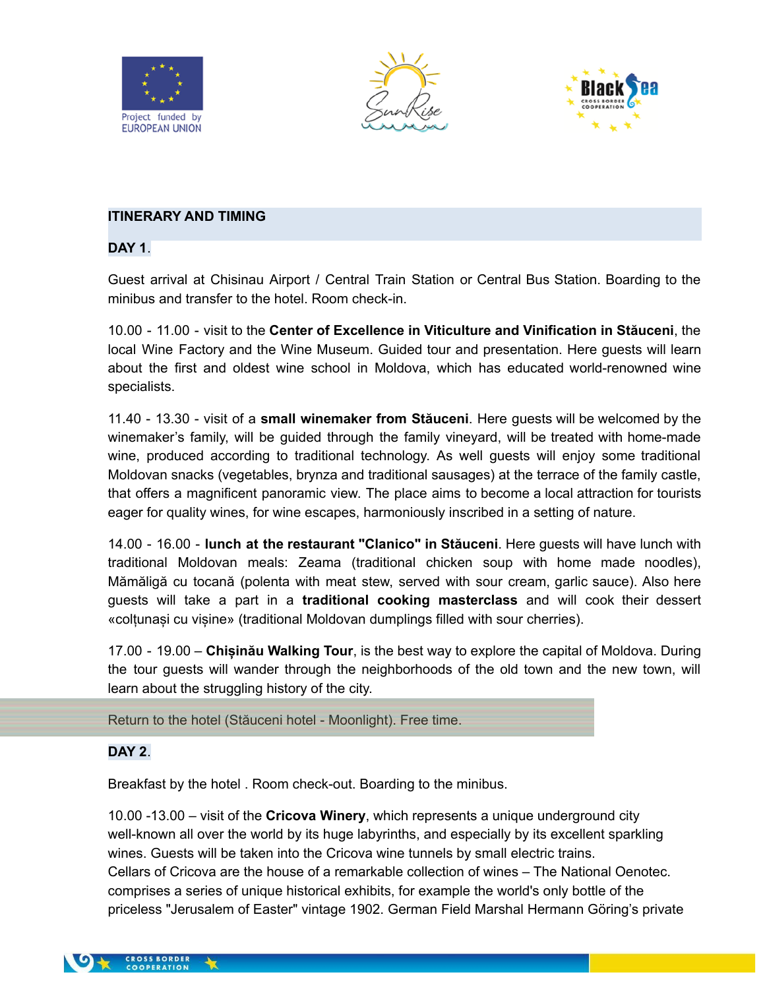





### **ITINERARY AND TIMING**

**DAY 1**.

Guest arrival at Chisinau Airport / Central Train Station or Central Bus Station. Boarding to the minibus and transfer to the hotel. Room check-in.

10.00 - 11.00 - visit to the **Center of Excellence in Viticulture and Vinification in Stăuceni**, the local Wine Factory and the Wine Museum. Guided tour and presentation. Here guests will learn about the first and oldest wine school in Moldova, which has educated world-renowned wine specialists.

11.40 - 13.30 - visit of a **small winemaker from Stăuceni**. Here guests will be welcomed by the winemaker's family, will be guided through the family vineyard, will be treated with home-made wine, produced according to traditional technology. As well guests will enjoy some traditional Moldovan snacks (vegetables, brynza and traditional sausages) at the terrace of the family castle, that offers a magnificent panoramic view. The place aims to become a local attraction for tourists eager for quality wines, for wine escapes, harmoniously inscribed in a setting of nature.

14.00 - 16.00 - **lunch at the restaurant "Clanico" in Stăuceni**. Here guests will have lunch with traditional Moldovan meals: Zeama (traditional chicken soup with home made noodles), Mămăligă cu tocană (polenta with meat stew, served with sour cream, garlic sauce). Also here guests will take a part in a **traditional cooking masterclass** and will cook their dessert «сolțunași cu vișine» (traditional Moldovan dumplings filled with sour cherries).

17.00 - 19.00 – **Chișinău Walking Tour**, is the best way to explore the capital of Moldova. During the tour guests will wander through the neighborhoods of the old town and the new town, will learn about the struggling history of the city.

Return to the hotel (Stăuceni hotel - Moonlight). Free time.

## **DAY 2**.

Breakfast by the hotel . Room check-out. Boarding to the minibus.

10.00 -13.00 – visit of the **Cricova Winery**, which represents a unique underground city well-known all over the world by its huge labyrinths, and especially by its excellent sparkling wines. Guests will be taken into the Cricova wine tunnels by small electric trains. Cellars of Cricova are the house of a remarkable collection of wines – The National Oenotec. comprises a series of unique historical exhibits, for example the world's only bottle of the priceless "Jerusalem of Easter" vintage 1902. German Field Marshal Hermann Göring's private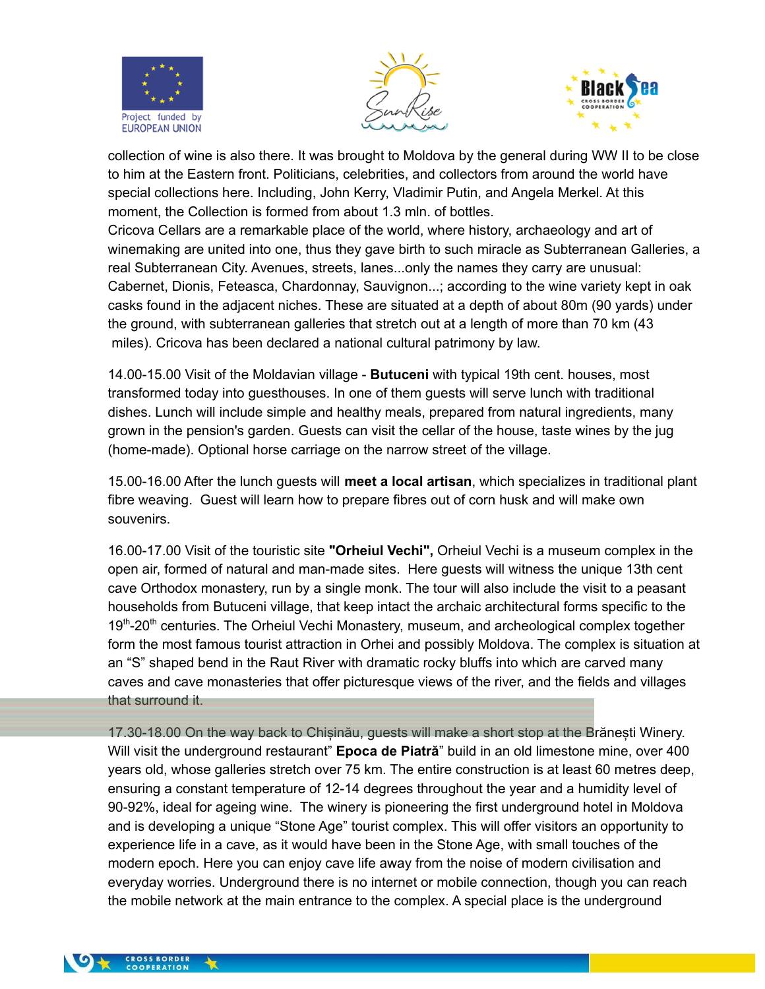





collection of wine is also there. It was brought to Moldova by the general during WW II to be close to him at the Eastern front. Politicians, celebrities, and collectors from around the world have special collections here. Including, John Kerry, Vladimir Putin, and Angela Merkel. At this moment, the Collection is formed from about 1.3 mln. of bottles.

Cricova Cellars are a remarkable place of the world, where history, archaeology and art of winemaking are united into one, thus they gave birth to such miracle as Subterranean Galleries, a real Subterranean City. Avenues, streets, lanes...only the names they carry are unusual: Cabernet, Dionis, Feteasca, Chardonnay, Sauvignon...; according to the wine variety kept in oak casks found in the adjacent niches. These are situated at a depth of about 80m (90 yards) under the ground, with subterranean galleries that stretch out at a length of more than 70 km (43 miles). Cricova has been declared a national cultural patrimony by law.

14.00-15.00 Visit of the Moldavian village - **Butuceni** with typical 19th cent. houses, most transformed today into guesthouses. In one of them guests will serve lunch with traditional dishes. Lunch will include simple and healthy meals, prepared from natural ingredients, many grown in the pension's garden. Guests can visit the cellar of the house, taste wines by the jug (home-made). Optional horse carriage on the narrow street of the village.

15.00-16.00 After the lunch guests will **meet a local artisan**, which specializes in traditional plant fibre weaving. Guest will learn how to prepare fibres out of corn husk and will make own souvenirs.

16.00-17.00 Visit of the touristic site **"Orheiul Vechi",** Orheiul Vechi is a museum complex in the open air, formed of natural and man-made sites. Here guests will witness the unique 13th cent cave Orthodox monastery, run by a single monk. The tour will also include the visit to a peasant households from Butuceni village, that keep intact the archaic architectural forms specific to the 19<sup>th</sup>-20<sup>th</sup> centuries. The Orheiul Vechi Monastery, museum, and archeological complex together form the most famous tourist attraction in Orhei and possibly Moldova. The complex is situation at an "S" shaped bend in the Raut River with dramatic rocky bluffs into which are carved many caves and cave monasteries that offer picturesque views of the river, and the fields and villages that surround it.

17.30-18.00 On the way back to Chișinău, guests will make a short stop at the Brănești Winery. Will visit the underground restaurant" **Epoca de Piatră**" build in an old limestone mine, over 400 years old, whose galleries stretch over 75 km. The entire construction is at least 60 metres deep, ensuring a constant temperature of 12-14 degrees throughout the year and a humidity level of 90-92%, ideal for ageing wine. The winery is pioneering the first underground hotel in Moldova and is developing a unique "Stone Age" tourist complex. This will offer visitors an opportunity to experience life in a cave, as it would have been in the Stone Age, with small touches of the modern epoch. Here you can enjoy cave life away from the noise of modern civilisation and everyday worries. Underground there is no internet or mobile connection, though you can reach the mobile network at the main entrance to the complex. A special place is the underground

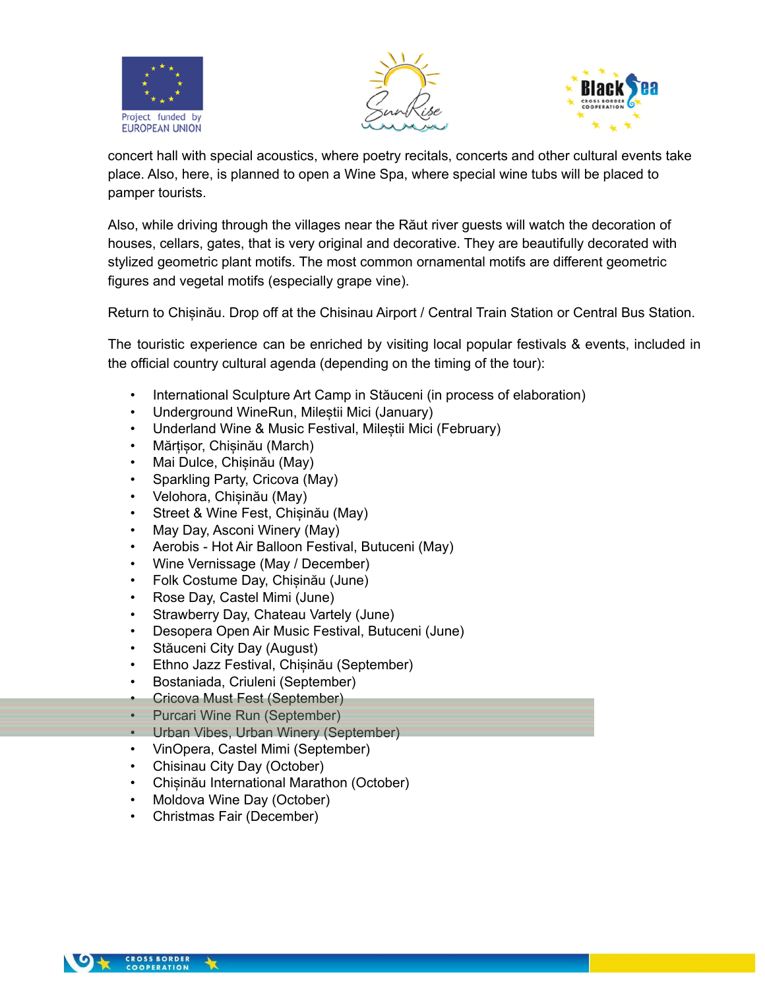





concert hall with special acoustics, where poetry recitals, concerts and other cultural events take place. Also, here, is planned to open a Wine Spa, where special wine tubs will be placed to pamper tourists.

Also, while driving through the villages near the Răut river guests will watch the decoration of houses, cellars, gates, that is very original and decorative. They are beautifully decorated with stylized geometric plant motifs. The most common ornamental motifs are different geometric figures and vegetal motifs (especially grape vine).

Return to Chișinău. Drop off at the Chisinau Airport / Central Train Station or Central Bus Station.

The touristic experience can be enriched by visiting local popular festivals & events, included in the official country cultural agenda (depending on the timing of the tour):

- International Sculpture Art Camp in Stăuceni (in process of elaboration)
- Underground WineRun, Mileștii Mici (January)
- Underland Wine & Music Festival, Mileștii Mici (February)
- Mărțișor, Chișinău (March)
- Mai Dulce, Chișinău (May)
- Sparkling Party, Cricova (May)
- Velohora, Chișinău (May)
- Street & Wine Fest, Chișinău (May)
- May Day, Asconi Winery (May)
- Aerobis Hot Air Balloon Festival, Butuceni (May)
- Wine Vernissage (May / December)
- Folk Costume Day, Chișinău (June)
- Rose Day, Castel Mimi (June)
- Strawberry Day, Chateau Vartely (June)
- Desopera Open Air Music Festival, Butuceni (June)
- Stăuceni City Day (August)
- Ethno Jazz Festival, Chișinău (September)
- Bostaniada, Criuleni (September)
- Cricova Must Fest (September)
- Purcari Wine Run (September)
- Urban Vibes, Urban Winery (September)
- VinOpera, Castel Mimi (September)
- Chisinau City Day (October)
- Chișinău International Marathon (October)
- Moldova Wine Day (October)
- Christmas Fair (December)

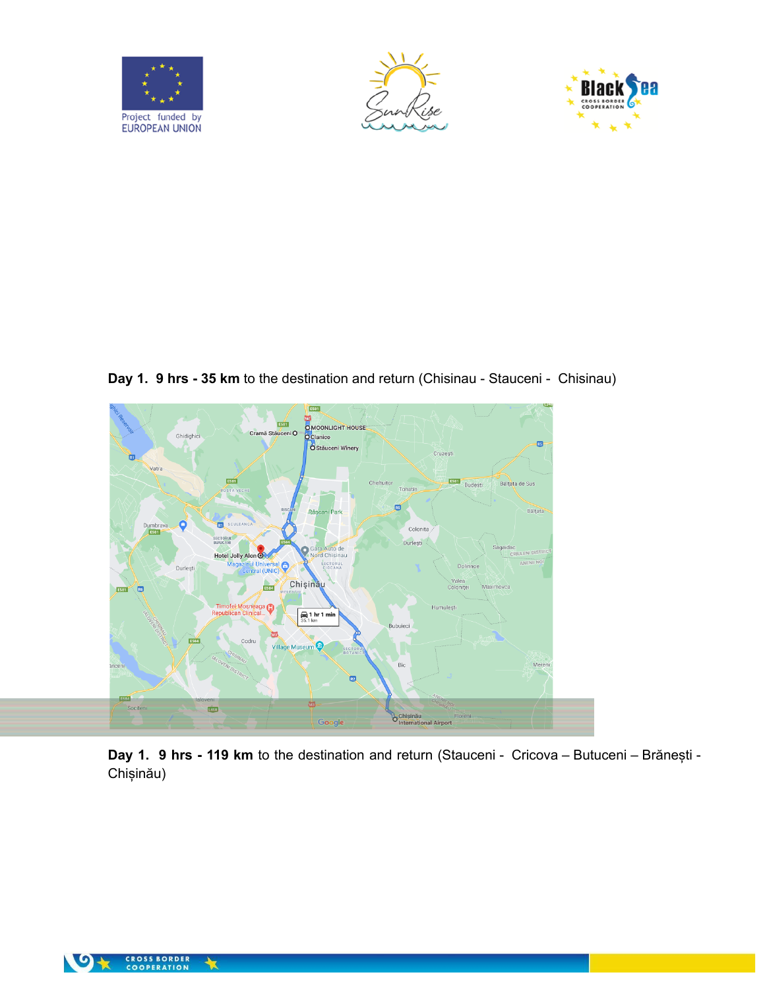





**Day 1. 9 hrs - 35 km** to the destination and return (Chisinau - Stauceni - Chisinau)